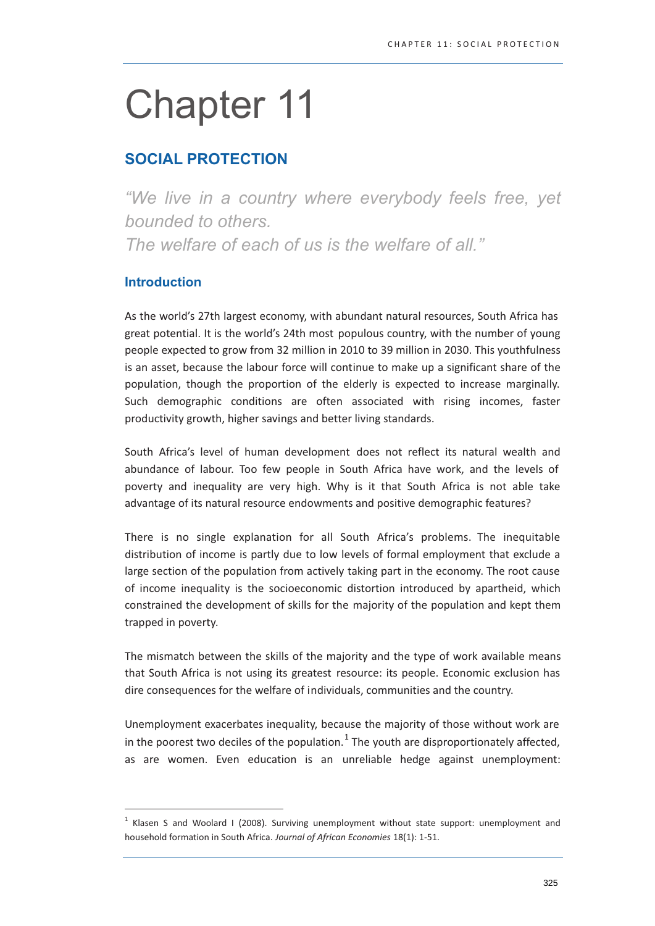# **Chapter 11**

# **SOCIAL PROTECTION**

"We live in a country where everybody feels free, yet bounded to others. The welfare of each of us is the welfare of all."

# **Introduction**

As the world's 27th largest economy, with abundant natural resources, South Africa has great potential. It is the world's 24th most populous country, with the number of young people expected to grow from 32 million in 2010 to 39 million in 2030. This youthfulness is an asset, because the labour force will continue to make up a significant share of the population, though the proportion of the elderly is expected to increase marginally. Such demographic conditions are often associated with rising incomes, faster productivity growth, higher savings and better living standards.

South Africa's level of human development does not reflect its natural wealth and abundance of labour. Too few people in South Africa have work, and the levels of poverty and inequality are very high. Why is it that South Africa is not able take advantage of its natural resource endowments and positive demographic features?

There is no single explanation for all South Africa's problems. The inequitable distribution of income is partly due to low levels of formal employment that exclude a large section of the population from actively taking part in the economy. The root cause of income inequality is the socioeconomic distortion introduced by apartheid, which constrained the development of skills for the majority of the population and kept them trapped in poverty.

The mismatch between the skills of the majority and the type of work available means that South Africa is not using its greatest resource: its people. Economic exclusion has dire consequences for the welfare of individuals, communities and the country.

Unemployment exacerbates inequality, because the majority of those without work are in the poorest two deciles of the population.  $1$  The youth are disproportionately affected, as are women. Even education is an unreliable hedge against unemployment:

 $1$  Klasen S and Woolard I (2008). Surviving unemployment without state support: unemployment and household formation in South Africa. Journal of African Economies 18(1): 1-51.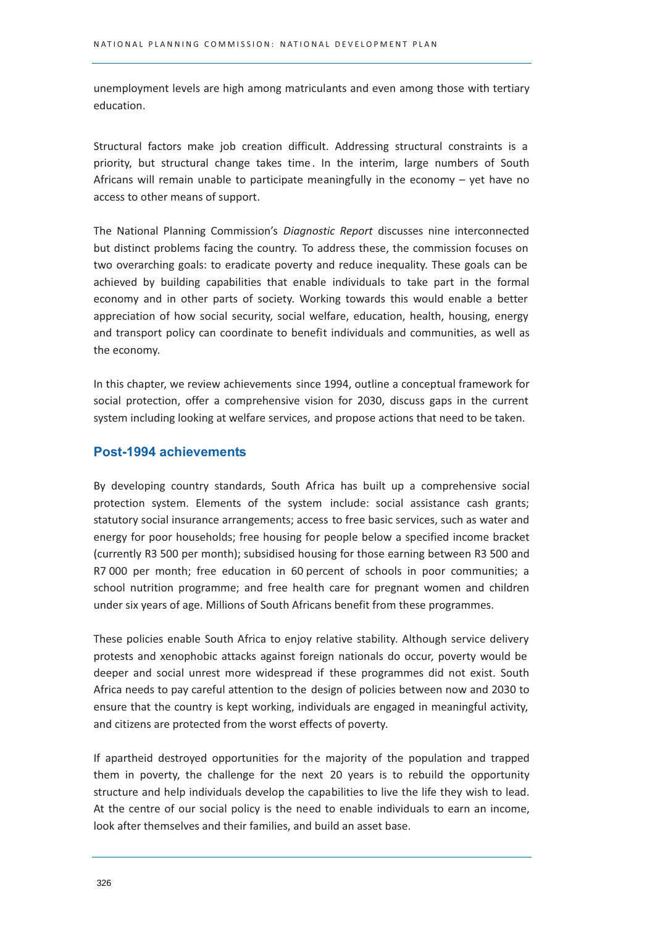unemployment levels are high among matriculants and even among those with tertiary education.

Structural factors make job creation difficult. Addressing structural constraints is a priority, but structural change takes time. In the interim, large numbers of South Africans will remain unable to participate meaningfully in the economy - yet have no access to other means of support.

The National Planning Commission's Diagnostic Report discusses nine interconnected but distinct problems facing the country. To address these, the commission focuses on two overarching goals: to eradicate poverty and reduce inequality. These goals can be achieved by building capabilities that enable individuals to take part in the formal economy and in other parts of society. Working towards this would enable a better appreciation of how social security, social welfare, education, health, housing, energy and transport policy can coordinate to benefit individuals and communities, as well as the economy.

In this chapter, we review achievements since 1994, outline a conceptual framework for social protection, offer a comprehensive vision for 2030, discuss gaps in the current system including looking at welfare services, and propose actions that need to be taken.

# **Post-1994 achievements**

By developing country standards, South Africa has built up a comprehensive social protection system. Elements of the system include: social assistance cash grants; statutory social insurance arrangements; access to free basic services, such as water and energy for poor households; free housing for people below a specified income bracket (currently R3 500 per month); subsidised housing for those earning between R3 500 and R7 000 per month; free education in 60 percent of schools in poor communities; a school nutrition programme; and free health care for pregnant women and children under six years of age. Millions of South Africans benefit from these programmes.

These policies enable South Africa to enjoy relative stability. Although service delivery protests and xenophobic attacks against foreign nationals do occur, poverty would be deeper and social unrest more widespread if these programmes did not exist. South Africa needs to pay careful attention to the design of policies between now and 2030 to ensure that the country is kept working, individuals are engaged in meaningful activity, and citizens are protected from the worst effects of poverty.

If apartheid destroyed opportunities for the majority of the population and trapped them in poverty, the challenge for the next 20 years is to rebuild the opportunity structure and help individuals develop the capabilities to live the life they wish to lead. At the centre of our social policy is the need to enable individuals to earn an income, look after themselves and their families, and build an asset base.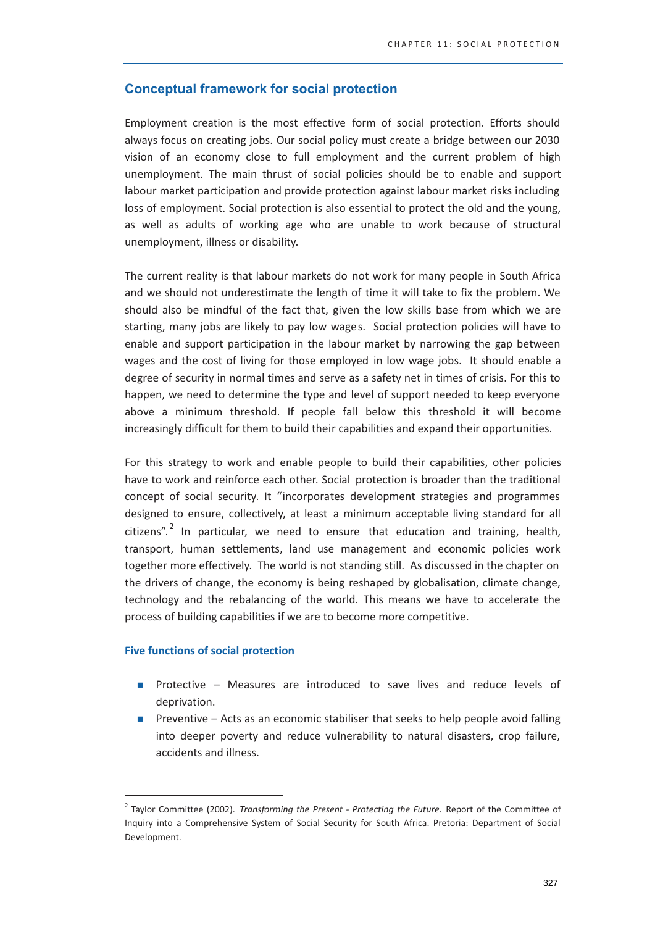# **Conceptual framework for social protection**

Employment creation is the most effective form of social protection. Efforts should always focus on creating jobs. Our social policy must create a bridge between our 2030 vision of an economy close to full employment and the current problem of high unemployment. The main thrust of social policies should be to enable and support labour market participation and provide protection against labour market risks including loss of employment. Social protection is also essential to protect the old and the young, as well as adults of working age who are unable to work because of structural unemployment, illness or disability.

The current reality is that labour markets do not work for many people in South Africa and we should not underestimate the length of time it will take to fix the problem. We should also be mindful of the fact that, given the low skills base from which we are starting, many jobs are likely to pay low wages. Social protection policies will have to enable and support participation in the labour market by narrowing the gap between wages and the cost of living for those employed in low wage jobs. It should enable a degree of security in normal times and serve as a safety net in times of crisis. For this to happen, we need to determine the type and level of support needed to keep everyone above a minimum threshold. If people fall below this threshold it will become increasingly difficult for them to build their capabilities and expand their opportunities.

For this strategy to work and enable people to build their capabilities, other policies have to work and reinforce each other. Social protection is broader than the traditional concept of social security. It "incorporates development strategies and programmes designed to ensure, collectively, at least a minimum acceptable living standard for all citizens".<sup>2</sup> In particular, we need to ensure that education and training, health, transport, human settlements, land use management and economic policies work together more effectively. The world is not standing still. As discussed in the chapter on the drivers of change, the economy is being reshaped by globalisation, climate change, technology and the rebalancing of the world. This means we have to accelerate the process of building capabilities if we are to become more competitive.

#### **Five functions of social protection**

- Protective Measures are introduced to save lives and reduce levels of deprivation.
- Preventive Acts as an economic stabiliser that seeks to help people avoid falling  $\mathbf{r}$ into deeper poverty and reduce vulnerability to natural disasters, crop failure, accidents and illness.

<sup>&</sup>lt;sup>2</sup> Taylor Committee (2002). Transforming the Present - Protecting the Future. Report of the Committee of Inquiry into a Comprehensive System of Social Security for South Africa. Pretoria: Department of Social Development.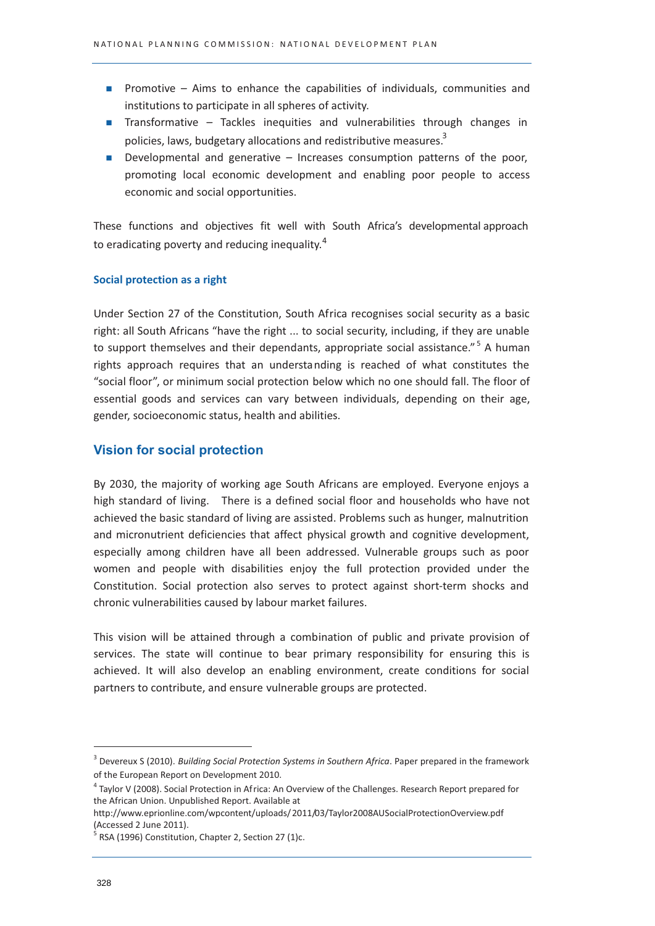- **Promotive** Aims to enhance the capabilities of individuals, communities and institutions to participate in all spheres of activity.
- Transformative Tackles inequities and vulnerabilities through changes in policies. laws, budgetary allocations and redistributive measures.<sup>3</sup>
- **Developmental and generative Increases consumption patterns of the poor,** promoting local economic development and enabling poor people to access economic and social opportunities.

These functions and objectives fit well with South Africa's developmental approach to eradicating poverty and reducing inequality.<sup>4</sup>

#### Social protection as a right

Under Section 27 of the Constitution, South Africa recognises social security as a basic right: all South Africans "have the right ... to social security, including, if they are unable to support themselves and their dependants, appropriate social assistance."<sup>5</sup> A human rights approach requires that an understanding is reached of what constitutes the "social floor", or minimum social protection below which no one should fall. The floor of essential goods and services can vary between individuals, depending on their age, gender, socioeconomic status, health and abilities.

# **Vision for social protection**

By 2030, the majority of working age South Africans are employed. Everyone enjoys a high standard of living. There is a defined social floor and households who have not achieved the basic standard of living are assisted. Problems such as hunger, malnutrition and micronutrient deficiencies that affect physical growth and cognitive development, especially among children have all been addressed. Vulnerable groups such as poor women and people with disabilities enjoy the full protection provided under the Constitution. Social protection also serves to protect against short-term shocks and chronic vulnerabilities caused by labour market failures.

This vision will be attained through a combination of public and private provision of services. The state will continue to bear primary responsibility for ensuring this is achieved. It will also develop an enabling environment, create conditions for social partners to contribute, and ensure vulnerable groups are protected.

<sup>&</sup>lt;sup>3</sup> Devereux S (2010). Building Social Protection Systems in Southern Africa. Paper prepared in the framework of the European Report on Development 2010.

 $^4$  Taylor V (2008). Social Protection in Africa: An Overview of the Challenges. Research Report prepared for the African Union. Unpublished Report. Available at

http://www.eprionline.com/wpcontent/uploads/2011/03/Taylor2008AUSocialProtectionOverview.pdf (Accessed 2 June 2011).

RSA (1996) Constitution, Chapter 2, Section 27 (1)c.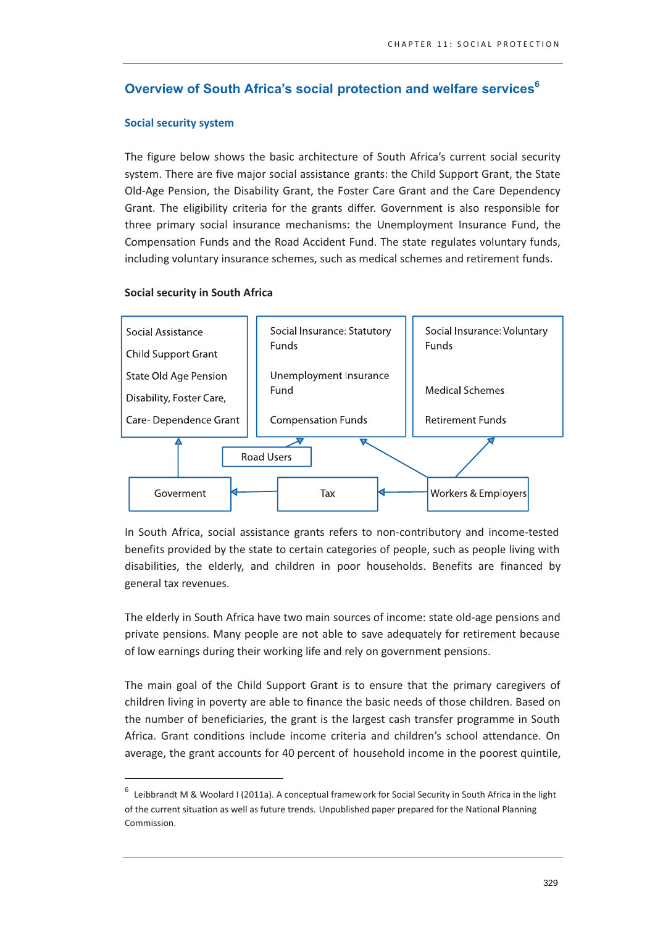# Overview of South Africa's social protection and welfare services<sup>6</sup>

#### **Social security system**

The figure below shows the basic architecture of South Africa's current social security system. There are five major social assistance grants: the Child Support Grant, the State Old-Age Pension, the Disability Grant, the Foster Care Grant and the Care Dependency Grant. The eligibility criteria for the grants differ. Government is also responsible for three primary social insurance mechanisms; the Unemployment Insurance Fund, the Compensation Funds and the Road Accident Fund. The state regulates voluntary funds, including voluntary insurance schemes, such as medical schemes and retirement funds.

#### **Social security in South Africa**



In South Africa, social assistance grants refers to non-contributory and income-tested benefits provided by the state to certain categories of people, such as people living with disabilities, the elderly, and children in poor households. Benefits are financed by general tax revenues.

The elderly in South Africa have two main sources of income: state old-age pensions and private pensions. Many people are not able to save adequately for retirement because of low earnings during their working life and rely on government pensions.

The main goal of the Child Support Grant is to ensure that the primary caregivers of children living in poverty are able to finance the basic needs of those children. Based on the number of beneficiaries, the grant is the largest cash transfer programme in South Africa. Grant conditions include income criteria and children's school attendance. On average, the grant accounts for 40 percent of household income in the poorest quintile,

 $6$  Leibbrandt M & Woolard I (2011a). A conceptual framew ork for Social Security in South Africa in the light of the current situation as well as future trends. Unpublished paper prepared for the National Planning Commission.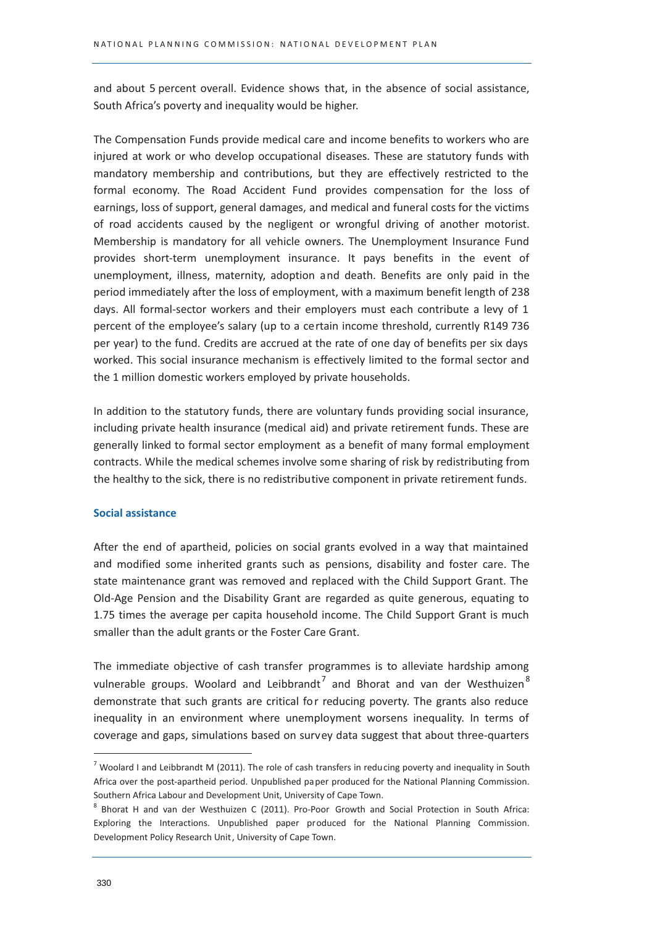and about 5 percent overall. Evidence shows that, in the absence of social assistance, South Africa's poverty and inequality would be higher.

The Compensation Funds provide medical care and income benefits to workers who are injured at work or who develop occupational diseases. These are statutory funds with mandatory membership and contributions, but they are effectively restricted to the formal economy. The Road Accident Fund provides compensation for the loss of earnings, loss of support, general damages, and medical and funeral costs for the victims of road accidents caused by the negligent or wrongful driving of another motorist. Membership is mandatory for all vehicle owners. The Unemployment Insurance Fund provides short-term unemployment insurance. It pays benefits in the event of unemployment, illness, maternity, adoption and death. Benefits are only paid in the period immediately after the loss of employment, with a maximum benefit length of 238 days. All formal-sector workers and their employers must each contribute a levy of 1 percent of the employee's salary (up to a certain income threshold, currently R149 736 per year) to the fund. Credits are accrued at the rate of one day of benefits per six days worked. This social insurance mechanism is effectively limited to the formal sector and the 1 million domestic workers employed by private households.

In addition to the statutory funds, there are voluntary funds providing social insurance, including private health insurance (medical aid) and private retirement funds. These are generally linked to formal sector employment as a benefit of many formal employment contracts. While the medical schemes involve some sharing of risk by redistributing from the healthy to the sick, there is no redistributive component in private retirement funds.

#### **Social assistance**

After the end of apartheid, policies on social grants evolved in a way that maintained and modified some inherited grants such as pensions, disability and foster care. The state maintenance grant was removed and replaced with the Child Support Grant. The Old-Age Pension and the Disability Grant are regarded as quite generous, equating to 1.75 times the average per capita household income. The Child Support Grant is much smaller than the adult grants or the Foster Care Grant.

The immediate objective of cash transfer programmes is to alleviate hardship among vulnerable groups. Woolard and Leibbrandt<sup>7</sup> and Bhorat and van der Westhuizen<sup>8</sup> demonstrate that such grants are critical for reducing poverty. The grants also reduce inequality in an environment where unemployment worsens inequality. In terms of coverage and gaps, simulations based on survey data suggest that about three-quarters

 $^7$  Woolard I and Leibbrandt M (2011). The role of cash transfers in reducing poverty and inequality in South Africa over the post-apartheid period. Unpublished paper produced for the National Planning Commission. Southern Africa Labour and Development Unit, University of Cape Town.

<sup>&</sup>lt;sup>8</sup> Bhorat H and van der Westhuizen C (2011). Pro-Poor Growth and Social Protection in South Africa: Exploring the Interactions. Unpublished paper produced for the National Planning Commission. Development Policy Research Unit, University of Cape Town.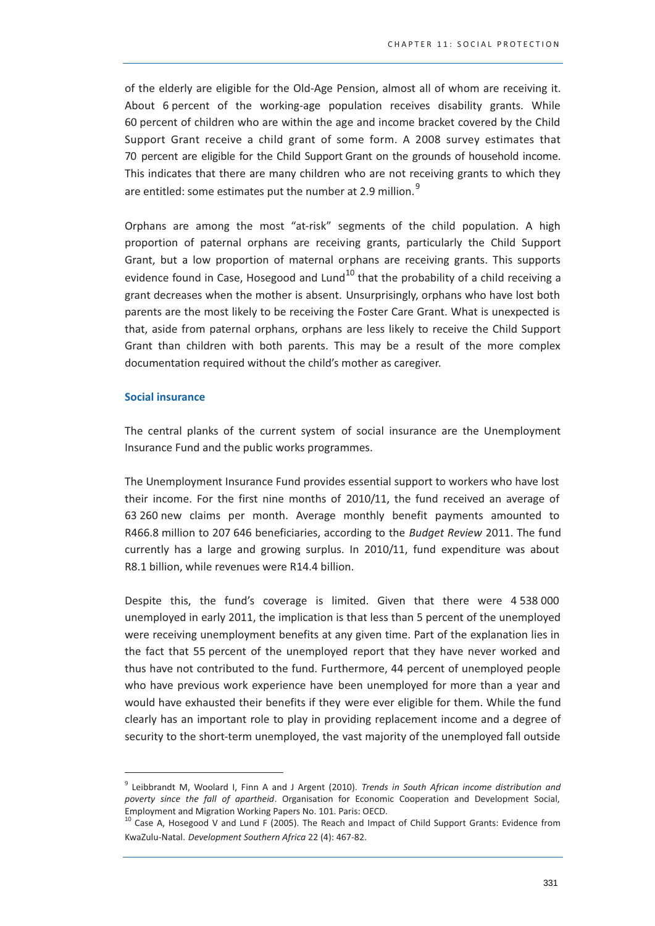of the elderly are eligible for the Old-Age Pension, almost all of whom are receiving it. About 6 percent of the working-age population receives disability grants. While 60 percent of children who are within the age and income bracket covered by the Child Support Grant receive a child grant of some form. A 2008 survey estimates that 70 percent are eligible for the Child Support Grant on the grounds of household income. This indicates that there are many children who are not receiving grants to which they are entitled: some estimates put the number at 2.9 million.<sup>9</sup>

Orphans are among the most "at-risk" segments of the child population. A high proportion of paternal orphans are receiving grants, particularly the Child Support Grant, but a low proportion of maternal orphans are receiving grants. This supports evidence found in Case, Hosegood and Lund<sup>10</sup> that the probability of a child receiving a grant decreases when the mother is absent. Unsurprisingly, orphans who have lost both parents are the most likely to be receiving the Foster Care Grant. What is unexpected is that, aside from paternal orphans, orphans are less likely to receive the Child Support Grant than children with both parents. This may be a result of the more complex documentation required without the child's mother as caregiver.

#### **Social insurance**

The central planks of the current system of social insurance are the Unemployment Insurance Fund and the public works programmes.

The Unemployment Insurance Fund provides essential support to workers who have lost their income. For the first nine months of 2010/11, the fund received an average of 63 260 new claims per month. Average monthly benefit payments amounted to R466.8 million to 207 646 beneficiaries, according to the Budget Review 2011. The fund currently has a large and growing surplus. In 2010/11, fund expenditure was about R8.1 billion, while revenues were R14.4 billion.

Despite this, the fund's coverage is limited. Given that there were 4538000 unemployed in early 2011, the implication is that less than 5 percent of the unemployed were receiving unemployment benefits at any given time. Part of the explanation lies in the fact that 55 percent of the unemployed report that they have never worked and thus have not contributed to the fund. Furthermore, 44 percent of unemployed people who have previous work experience have been unemployed for more than a year and would have exhausted their benefits if they were ever eligible for them. While the fund clearly has an important role to play in providing replacement income and a degree of security to the short-term unemployed, the vast majority of the unemployed fall outside

<sup>&</sup>lt;sup>9</sup> Leibbrandt M, Woolard I, Finn A and J Argent (2010). Trends in South African income distribution and poverty since the fall of apartheid. Organisation for Economic Cooperation and Development Social, Employment and Migration Working Papers No. 101. Paris: OECD.

<sup>&</sup>lt;sup>10</sup> Case A, Hosegood V and Lund F (2005). The Reach and Impact of Child Support Grants: Evidence from KwaZulu-Natal. Development Southern Africa 22 (4): 467-82.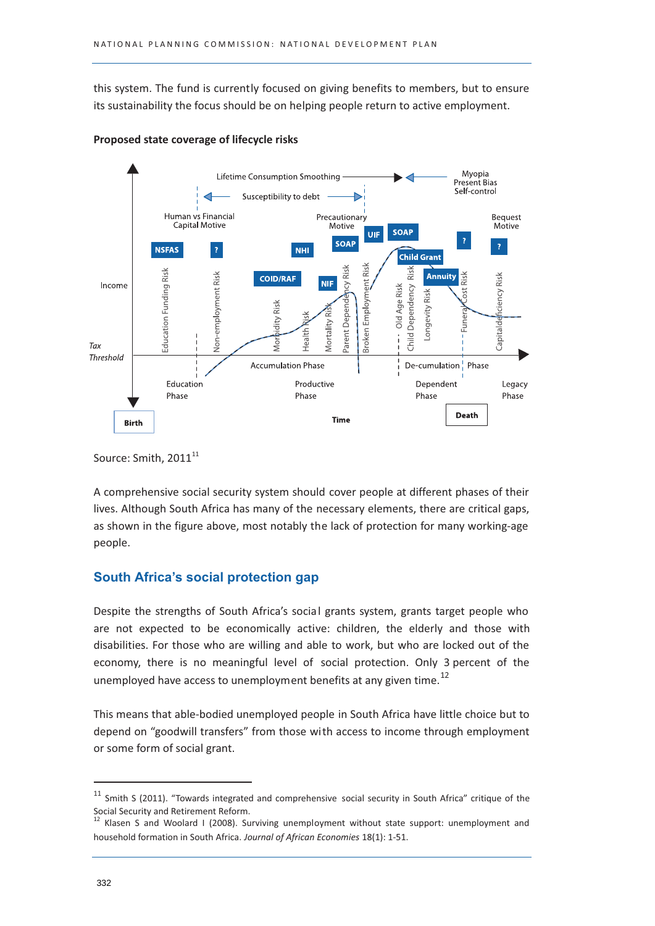this system. The fund is currently focused on giving benefits to members, but to ensure its sustainability the focus should be on helping people return to active employment.



Proposed state coverage of lifecycle risks

A comprehensive social security system should cover people at different phases of their lives. Although South Africa has many of the necessary elements, there are critical gaps, as shown in the figure above, most notably the lack of protection for many working-age people.

# **South Africa's social protection gap**

Despite the strengths of South Africa's social grants system, grants target people who are not expected to be economically active: children, the elderly and those with disabilities. For those who are willing and able to work, but who are locked out of the economy, there is no meaningful level of social protection. Only 3 percent of the unemployed have access to unemployment benefits at any given time.<sup>12</sup>

This means that able-bodied unemployed people in South Africa have little choice but to depend on "goodwill transfers" from those with access to income through employment or some form of social grant.

Source: Smith, 2011<sup>11</sup>

<sup>&</sup>lt;sup>11</sup> Smith S (2011). "Towards integrated and comprehensive social security in South Africa" critique of the Social Security and Retirement Reform.<br><sup>12</sup> Klasen S and Woolard I (2008). Surviving unemployment without state support: unemployment and

household formation in South Africa. Journal of African Economies 18(1): 1-51.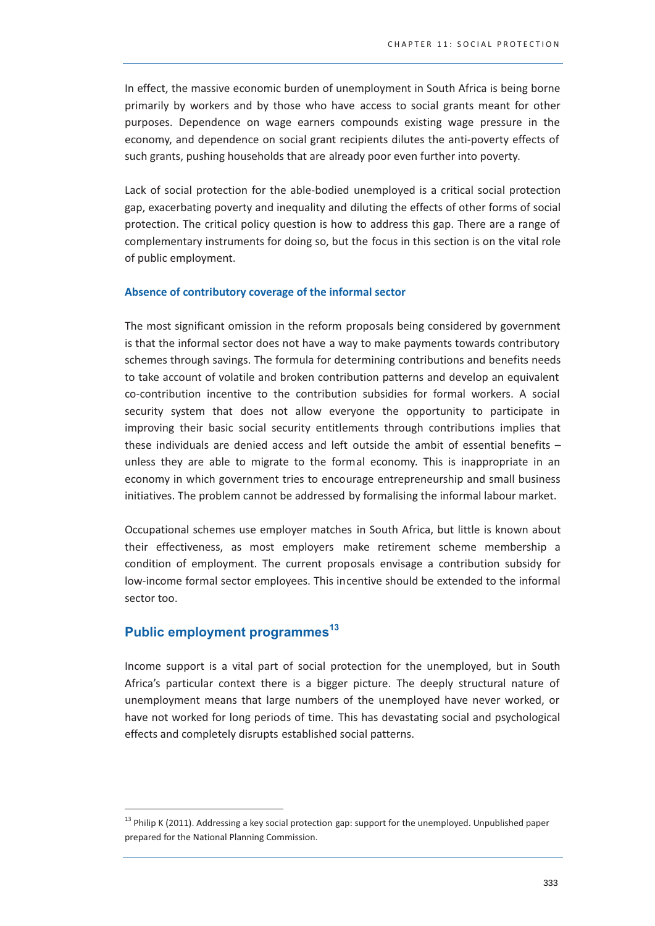In effect, the massive economic burden of unemployment in South Africa is being borne primarily by workers and by those who have access to social grants meant for other purposes. Dependence on wage earners compounds existing wage pressure in the economy, and dependence on social grant recipients dilutes the anti-poverty effects of such grants, pushing households that are already poor even further into poverty.

Lack of social protection for the able-bodied unemployed is a critical social protection gap, exacerbating poverty and inequality and diluting the effects of other forms of social protection. The critical policy question is how to address this gap. There are a range of complementary instruments for doing so, but the focus in this section is on the vital role of public employment.

#### Absence of contributory coverage of the informal sector

The most significant omission in the reform proposals being considered by government is that the informal sector does not have a way to make payments towards contributory schemes through savings. The formula for determining contributions and benefits needs to take account of volatile and broken contribution patterns and develop an equivalent co-contribution incentive to the contribution subsidies for formal workers. A social security system that does not allow everyone the opportunity to participate in improving their basic social security entitlements through contributions implies that these individuals are denied access and left outside the ambit of essential benefits  $$ unless they are able to migrate to the formal economy. This is inappropriate in an economy in which government tries to encourage entrepreneurship and small business initiatives. The problem cannot be addressed by formalising the informal labour market.

Occupational schemes use employer matches in South Africa, but little is known about their effectiveness, as most employers make retirement scheme membership a condition of employment. The current proposals envisage a contribution subsidy for low-income formal sector employees. This incentive should be extended to the informal sector too.

# Public employment programmes<sup>13</sup>

Income support is a vital part of social protection for the unemployed, but in South Africa's particular context there is a bigger picture. The deeply structural nature of unemployment means that large numbers of the unemployed have never worked, or have not worked for long periods of time. This has devastating social and psychological effects and completely disrupts established social patterns.

<sup>&</sup>lt;sup>13</sup> Philip K (2011). Addressing a key social protection gap: support for the unemployed. Unpublished paper prepared for the National Planning Commission.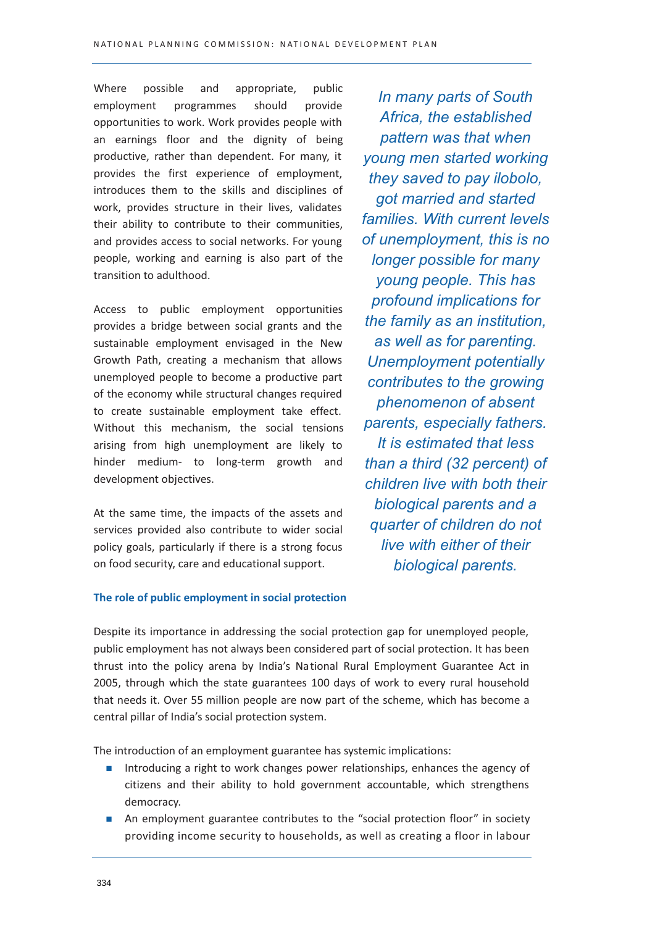Where possible and appropriate, public programmes should provide employment opportunities to work. Work provides people with an earnings floor and the dignity of being productive, rather than dependent. For many, it provides the first experience of employment, introduces them to the skills and disciplines of work, provides structure in their lives, validates their ability to contribute to their communities, and provides access to social networks. For young people, working and earning is also part of the transition to adulthood.

Access to public employment opportunities provides a bridge between social grants and the sustainable employment envisaged in the New Growth Path, creating a mechanism that allows unemployed people to become a productive part of the economy while structural changes required to create sustainable employment take effect. Without this mechanism, the social tensions arising from high unemployment are likely to hinder medium- to long-term growth and development objectives.

At the same time, the impacts of the assets and services provided also contribute to wider social policy goals, particularly if there is a strong focus on food security, care and educational support.

In many parts of South Africa, the established pattern was that when young men started working they saved to pay ilobolo. got married and started families. With current levels of unemployment, this is no longer possible for many young people. This has profound implications for the family as an institution. as well as for parenting. **Unemployment potentially** contributes to the growing phenomenon of absent parents, especially fathers. It is estimated that less than a third (32 percent) of children live with both their biological parents and a quarter of children do not live with either of their biological parents.

#### The role of public employment in social protection

Despite its importance in addressing the social protection gap for unemployed people, public employment has not always been considered part of social protection. It has been thrust into the policy arena by India's National Rural Employment Guarantee Act in 2005, through which the state guarantees 100 days of work to every rural household that needs it. Over 55 million people are now part of the scheme, which has become a central pillar of India's social protection system.

The introduction of an employment guarantee has systemic implications:

- Introducing a right to work changes power relationships, enhances the agency of citizens and their ability to hold government accountable, which strengthens democracy.
- An employment guarantee contributes to the "social protection floor" in society providing income security to households, as well as creating a floor in labour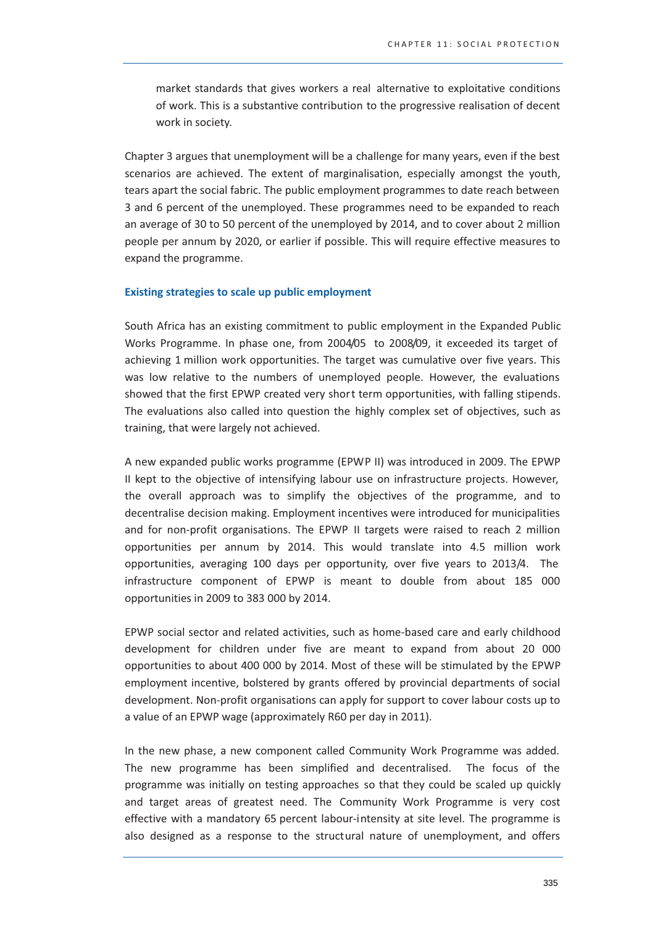market standards that gives workers a real alternative to exploitative conditions of work. This is a substantive contribution to the progressive realisation of decent work in society.

Chapter 3 argues that unemployment will be a challenge for many years, even if the best scenarios are achieved. The extent of marginalisation, especially amongst the youth, tears apart the social fabric. The public employment programmes to date reach between 3 and 6 percent of the unemployed. These programmes need to be expanded to reach an average of 30 to 50 percent of the unemployed by 2014, and to cover about 2 million people per annum by 2020, or earlier if possible. This will require effective measures to expand the programme.

#### **Existing strategies to scale up public employment**

South Africa has an existing commitment to public employment in the Expanded Public Works Programme. In phase one, from 2004/05 to 2008/09, it exceeded its target of achieving 1 million work opportunities. The target was cumulative over five years. This was low relative to the numbers of unemployed people. However, the evaluations showed that the first EPWP created very short term opportunities, with falling stipends. The evaluations also called into question the highly complex set of objectives, such as training, that were largely not achieved.

A new expanded public works programme (EPWP II) was introduced in 2009. The EPWP Il kept to the objective of intensifying labour use on infrastructure projects. However, the overall approach was to simplify the objectives of the programme, and to decentralise decision making. Employment incentives were introduced for municipalities and for non-profit organisations. The EPWP II targets were raised to reach 2 million opportunities per annum by 2014. This would translate into 4.5 million work opportunities, averaging 100 days per opportunity, over five years to 2013/4. The infrastructure component of EPWP is meant to double from about 185 000 opportunities in 2009 to 383 000 by 2014.

EPWP social sector and related activities, such as home-based care and early childhood development for children under five are meant to expand from about 20 000 opportunities to about 400 000 by 2014. Most of these will be stimulated by the EPWP employment incentive, bolstered by grants offered by provincial departments of social development. Non-profit organisations can apply for support to cover labour costs up to a value of an EPWP wage (approximately R60 per day in 2011).

In the new phase, a new component called Community Work Programme was added. The new programme has been simplified and decentralised. The focus of the programme was initially on testing approaches so that they could be scaled up quickly and target areas of greatest need. The Community Work Programme is very cost effective with a mandatory 65 percent labour-intensity at site level. The programme is also designed as a response to the structural nature of unemployment, and offers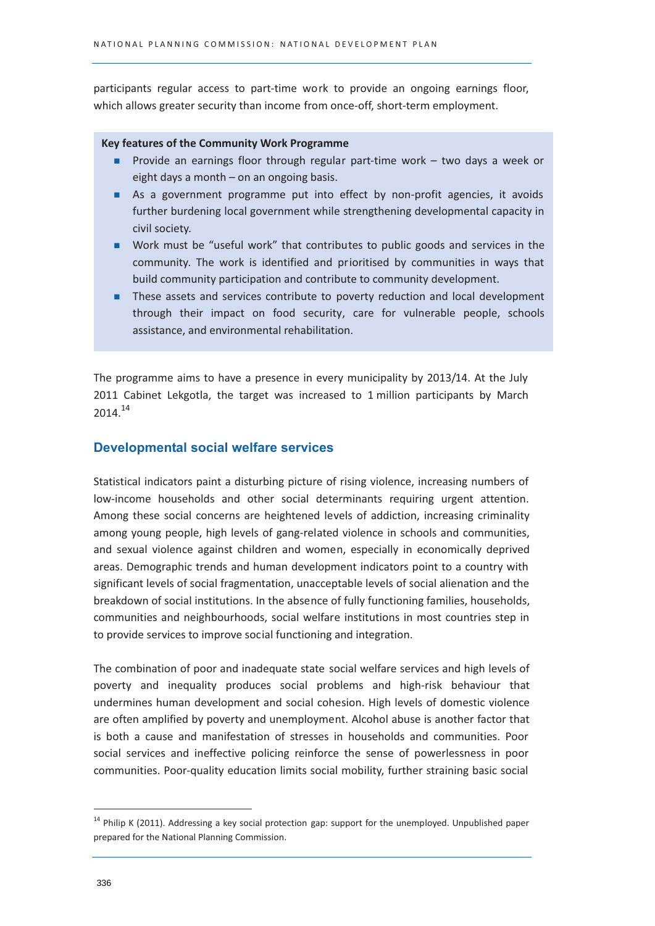participants regular access to part-time work to provide an ongoing earnings floor, which allows greater security than income from once-off, short-term employment.

#### **Key features of the Community Work Programme**

- Provide an earnings floor through regular part-time work two days a week or eight days a month - on an ongoing basis.
- As a government programme put into effect by non-profit agencies, it avoids further burdening local government while strengthening developmental capacity in civil society.
- Work must be "useful work" that contributes to public goods and services in the community. The work is identified and prioritised by communities in ways that build community participation and contribute to community development.
- These assets and services contribute to poverty reduction and local development through their impact on food security, care for vulnerable people, schools assistance, and environmental rehabilitation.

The programme aims to have a presence in every municipality by 2013/14. At the July 2011 Cabinet Lekgotla, the target was increased to 1 million participants by March 2014.14

# **Developmental social welfare services**

Statistical indicators paint a disturbing picture of rising violence, increasing numbers of low-income households and other social determinants requiring urgent attention. Among these social concerns are heightened levels of addiction, increasing criminality among young people, high levels of gang-related violence in schools and communities, and sexual violence against children and women, especially in economically deprived areas. Demographic trends and human development indicators point to a country with significant levels of social fragmentation, unacceptable levels of social alienation and the breakdown of social institutions. In the absence of fully functioning families, households, communities and neighbourhoods, social welfare institutions in most countries step in to provide services to improve social functioning and integration.

The combination of poor and inadequate state social welfare services and high levels of poverty and inequality produces social problems and high-risk behaviour that undermines human development and social cohesion. High levels of domestic violence are often amplified by poverty and unemployment. Alcohol abuse is another factor that is both a cause and manifestation of stresses in households and communities. Poor social services and ineffective policing reinforce the sense of powerlessness in poor communities. Poor-quality education limits social mobility, further straining basic social

<sup>&</sup>lt;sup>14</sup> Philip K (2011). Addressing a key social protection gap: support for the unemployed. Unpublished paper prepared for the National Planning Commission.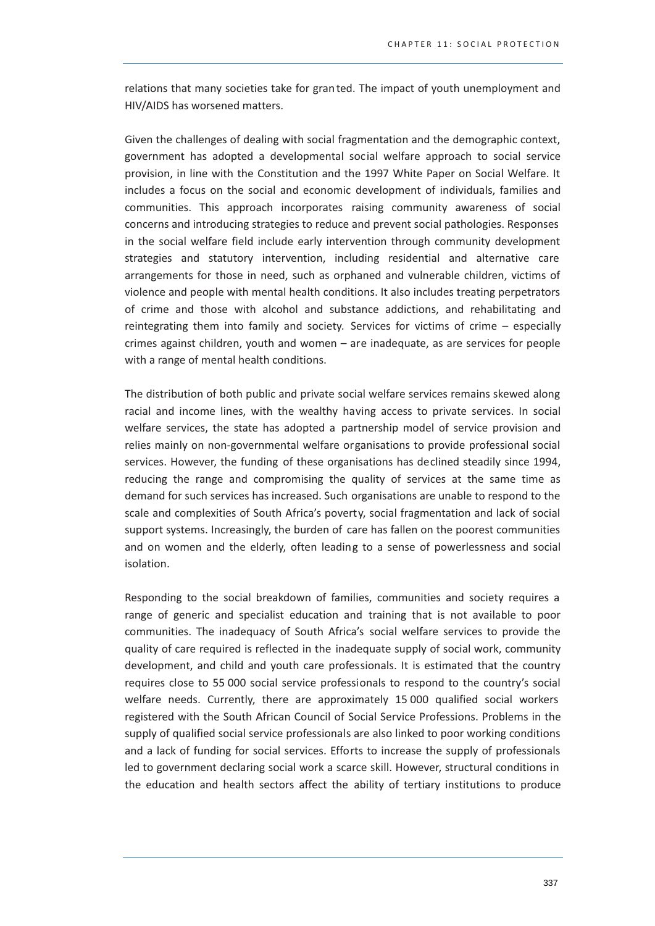relations that many societies take for granted. The impact of youth unemployment and HIV/AIDS has worsened matters.

Given the challenges of dealing with social fragmentation and the demographic context, government has adopted a developmental social welfare approach to social service provision, in line with the Constitution and the 1997 White Paper on Social Welfare. It includes a focus on the social and economic development of individuals, families and communities. This approach incorporates raising community awareness of social concerns and introducing strategies to reduce and prevent social pathologies. Responses in the social welfare field include early intervention through community development strategies and statutory intervention, including residential and alternative care arrangements for those in need, such as orphaned and vulnerable children, victims of violence and people with mental health conditions. It also includes treating perpetrators of crime and those with alcohol and substance addictions, and rehabilitating and reintegrating them into family and society. Services for victims of crime - especially crimes against children, youth and women - are inadequate, as are services for people with a range of mental health conditions.

The distribution of both public and private social welfare services remains skewed along racial and income lines, with the wealthy having access to private services. In social welfare services, the state has adopted a partnership model of service provision and relies mainly on non-governmental welfare organisations to provide professional social services. However, the funding of these organisations has declined steadily since 1994, reducing the range and compromising the quality of services at the same time as demand for such services has increased. Such organisations are unable to respond to the scale and complexities of South Africa's poverty, social fragmentation and lack of social support systems. Increasingly, the burden of care has fallen on the poorest communities and on women and the elderly, often leading to a sense of powerlessness and social isolation.

Responding to the social breakdown of families, communities and society requires a range of generic and specialist education and training that is not available to poor communities. The inadequacy of South Africa's social welfare services to provide the quality of care required is reflected in the inadequate supply of social work, community development, and child and youth care professionals. It is estimated that the country requires close to 55 000 social service professionals to respond to the country's social welfare needs. Currently, there are approximately 15 000 qualified social workers registered with the South African Council of Social Service Professions. Problems in the supply of qualified social service professionals are also linked to poor working conditions and a lack of funding for social services. Efforts to increase the supply of professionals led to government declaring social work a scarce skill. However, structural conditions in the education and health sectors affect the ability of tertiary institutions to produce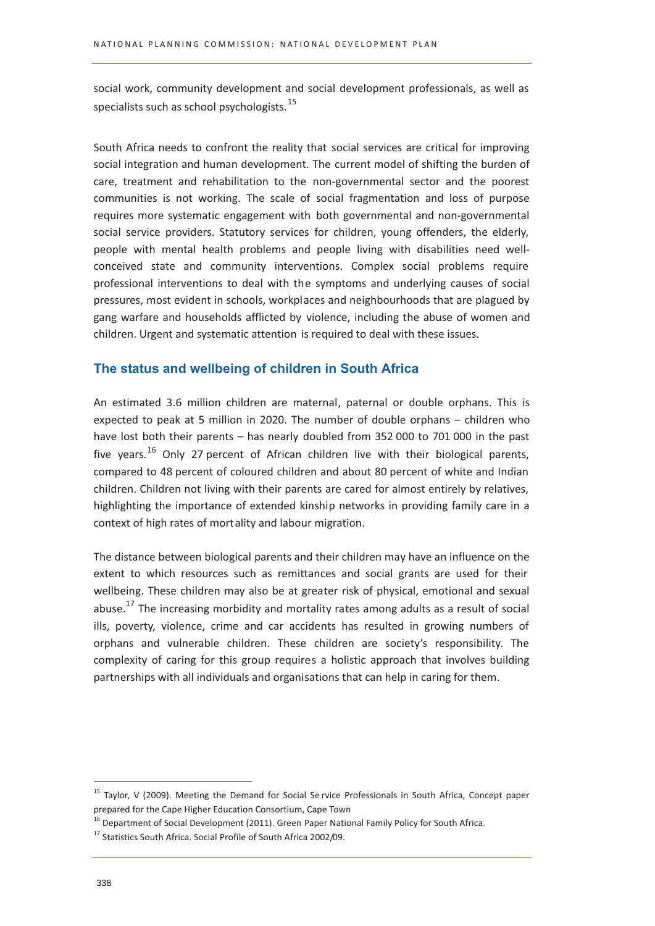social work, community development and social development professionals, as well as specialists such as school psychologists.<sup>15</sup>

South Africa needs to confront the reality that social services are critical for improving social integration and human development. The current model of shifting the burden of care, treatment and rehabilitation to the non-governmental sector and the poorest communities is not working. The scale of social fragmentation and loss of purpose requires more systematic engagement with both governmental and non-governmental social service providers. Statutory services for children, young offenders, the elderly, people with mental health problems and people living with disabilities need wellconceived state and community interventions. Complex social problems require professional interventions to deal with the symptoms and underlying causes of social pressures, most evident in schools, workplaces and neighbourhoods that are plagued by gang warfare and households afflicted by violence, including the abuse of women and children. Urgent and systematic attention is required to deal with these issues.

# The status and wellbeing of children in South Africa

An estimated 3.6 million children are maternal, paternal or double orphans. This is expected to peak at 5 million in 2020. The number of double orphans - children who have lost both their parents - has nearly doubled from 352 000 to 701 000 in the past five years.<sup>16</sup> Only 27 percent of African children live with their biological parents, compared to 48 percent of coloured children and about 80 percent of white and Indian children. Children not living with their parents are cared for almost entirely by relatives, highlighting the importance of extended kinship networks in providing family care in a context of high rates of mortality and labour migration.

The distance between biological parents and their children may have an influence on the extent to which resources such as remittances and social grants are used for their wellbeing. These children may also be at greater risk of physical, emotional and sexual abuse.<sup>17</sup> The increasing morbidity and mortality rates among adults as a result of social ills, poverty, violence, crime and car accidents has resulted in growing numbers of orphans and vulnerable children. These children are society's responsibility. The complexity of caring for this group requires a holistic approach that involves building partnerships with all individuals and organisations that can help in caring for them.

<sup>&</sup>lt;sup>15</sup> Taylor, V (2009). Meeting the Demand for Social Se rvice Professionals in South Africa, Concept paper prepared for the Cape Higher Education Consortium, Cape Town

<sup>&</sup>lt;sup>16</sup> Department of Social Development (2011). Green Paper National Family Policy for South Africa.

<sup>&</sup>lt;sup>17</sup> Statistics South Africa. Social Profile of South Africa 2002/09.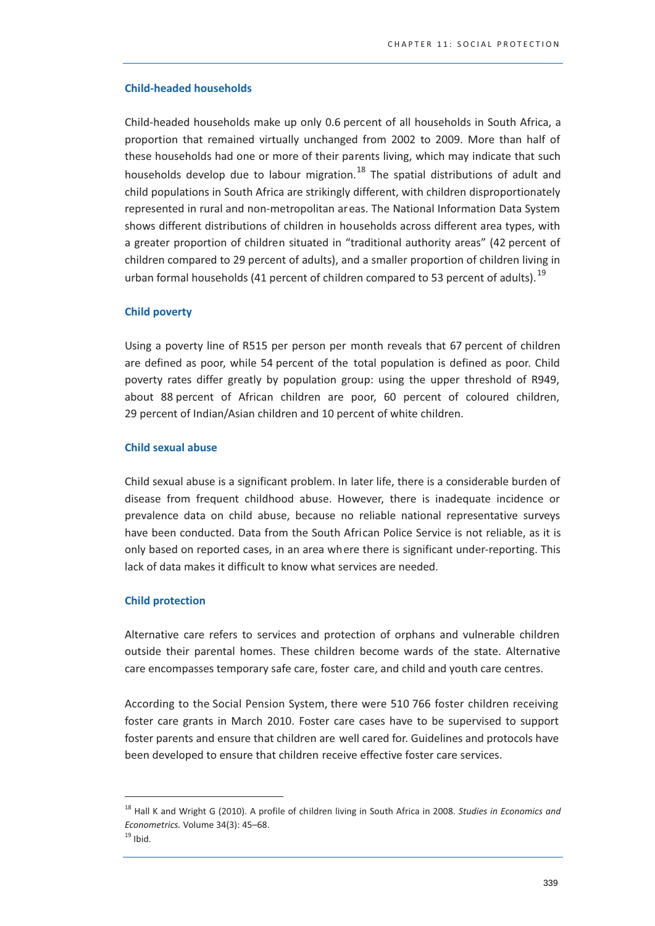#### **Child-headed households**

Child-headed households make up only 0.6 percent of all households in South Africa, a proportion that remained virtually unchanged from 2002 to 2009. More than half of these households had one or more of their parents living, which may indicate that such households develop due to labour migration.<sup>18</sup> The spatial distributions of adult and child populations in South Africa are strikingly different, with children disproportionately represented in rural and non-metropolitan areas. The National Information Data System shows different distributions of children in households across different area types, with a greater proportion of children situated in "traditional authority areas" (42 percent of children compared to 29 percent of adults), and a smaller proportion of children living in urban formal households (41 percent of children compared to 53 percent of adults).<sup>19</sup>

#### **Child poverty**

Using a poverty line of R515 per person per month reveals that 67 percent of children are defined as poor, while 54 percent of the total population is defined as poor. Child poverty rates differ greatly by population group: using the upper threshold of R949, about 88 percent of African children are poor, 60 percent of coloured children, 29 percent of Indian/Asian children and 10 percent of white children.

#### **Child sexual abuse**

Child sexual abuse is a significant problem. In later life, there is a considerable burden of disease from frequent childhood abuse. However, there is inadequate incidence or prevalence data on child abuse, because no reliable national representative surveys have been conducted. Data from the South African Police Service is not reliable, as it is only based on reported cases, in an area where there is significant under-reporting. This lack of data makes it difficult to know what services are needed.

#### **Child protection**

Alternative care refers to services and protection of orphans and vulnerable children outside their parental homes. These children become wards of the state. Alternative care encompasses temporary safe care, foster care, and child and youth care centres.

According to the Social Pension System, there were 510 766 foster children receiving foster care grants in March 2010. Foster care cases have to be supervised to support foster parents and ensure that children are well cared for. Guidelines and protocols have been developed to ensure that children receive effective foster care services.

<sup>&</sup>lt;sup>18</sup> Hall K and Wright G (2010). A profile of children living in South Africa in 2008. Studies in Economics and Econometrics. Volume 34(3): 45-68.

 $19$  Ibid.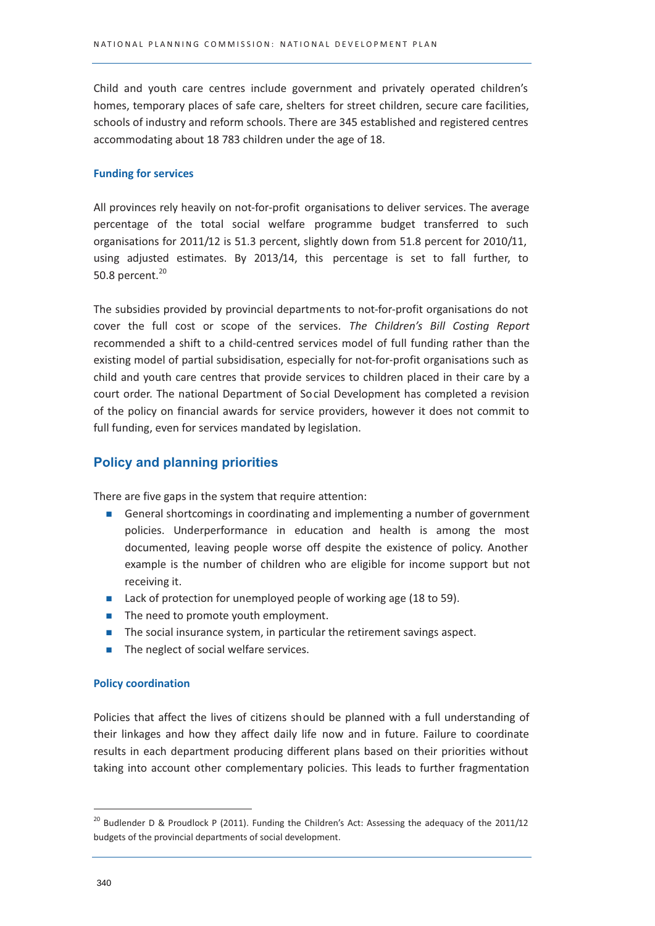Child and youth care centres include government and privately operated children's homes, temporary places of safe care, shelters for street children, secure care facilities, schools of industry and reform schools. There are 345 established and registered centres accommodating about 18 783 children under the age of 18.

#### **Funding for services**

All provinces rely heavily on not-for-profit organisations to deliver services. The average percentage of the total social welfare programme budget transferred to such organisations for 2011/12 is 51.3 percent, slightly down from 51.8 percent for 2010/11, using adjusted estimates. By 2013/14, this percentage is set to fall further, to 50.8 percent.<sup>20</sup>

The subsidies provided by provincial departments to not-for-profit organisations do not cover the full cost or scope of the services. The Children's Bill Costing Report recommended a shift to a child-centred services model of full funding rather than the existing model of partial subsidisation, especially for not-for-profit organisations such as child and youth care centres that provide services to children placed in their care by a court order. The national Department of Social Development has completed a revision of the policy on financial awards for service providers, however it does not commit to full funding, even for services mandated by legislation.

# **Policy and planning priorities**

There are five gaps in the system that require attention:

- General shortcomings in coordinating and implementing a number of government policies. Underperformance in education and health is among the most documented, leaving people worse off despite the existence of policy. Another example is the number of children who are eligible for income support but not receiving it.
- Lack of protection for unemployed people of working age (18 to 59).
- The need to promote youth employment.
- $\blacksquare$  The social insurance system, in particular the retirement savings aspect.
- The neglect of social welfare services.

#### **Policy coordination**

Policies that affect the lives of citizens should be planned with a full understanding of their linkages and how they affect daily life now and in future. Failure to coordinate results in each department producing different plans based on their priorities without taking into account other complementary policies. This leads to further fragmentation

<sup>&</sup>lt;sup>20</sup> Budlender D & Proudlock P (2011). Funding the Children's Act: Assessing the adequacy of the 2011/12 budgets of the provincial departments of social development.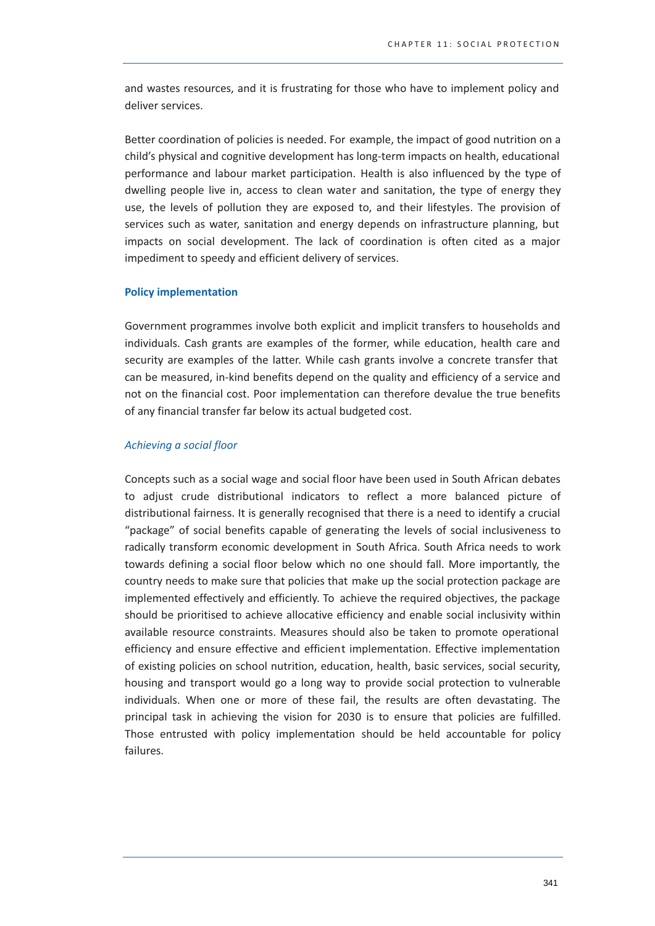and wastes resources, and it is frustrating for those who have to implement policy and deliver services.

Better coordination of policies is needed. For example, the impact of good nutrition on a child's physical and cognitive development has long-term impacts on health, educational performance and labour market participation. Health is also influenced by the type of dwelling people live in, access to clean water and sanitation, the type of energy they use, the levels of pollution they are exposed to, and their lifestyles. The provision of services such as water, sanitation and energy depends on infrastructure planning, but impacts on social development. The lack of coordination is often cited as a major impediment to speedy and efficient delivery of services.

#### **Policy implementation**

Government programmes involve both explicit and implicit transfers to households and individuals. Cash grants are examples of the former, while education, health care and security are examples of the latter. While cash grants involve a concrete transfer that can be measured, in-kind benefits depend on the quality and efficiency of a service and not on the financial cost. Poor implementation can therefore devalue the true benefits of any financial transfer far below its actual budgeted cost.

#### Achieving a social floor

Concepts such as a social wage and social floor have been used in South African debates to adjust crude distributional indicators to reflect a more balanced picture of distributional fairness. It is generally recognised that there is a need to identify a crucial "package" of social benefits capable of generating the levels of social inclusiveness to radically transform economic development in South Africa. South Africa needs to work towards defining a social floor below which no one should fall. More importantly, the country needs to make sure that policies that make up the social protection package are implemented effectively and efficiently. To achieve the required objectives, the package should be prioritised to achieve allocative efficiency and enable social inclusivity within available resource constraints. Measures should also be taken to promote operational efficiency and ensure effective and efficient implementation. Effective implementation of existing policies on school nutrition, education, health, basic services, social security, housing and transport would go a long way to provide social protection to vulnerable individuals. When one or more of these fail, the results are often devastating. The principal task in achieving the vision for 2030 is to ensure that policies are fulfilled. Those entrusted with policy implementation should be held accountable for policy failures.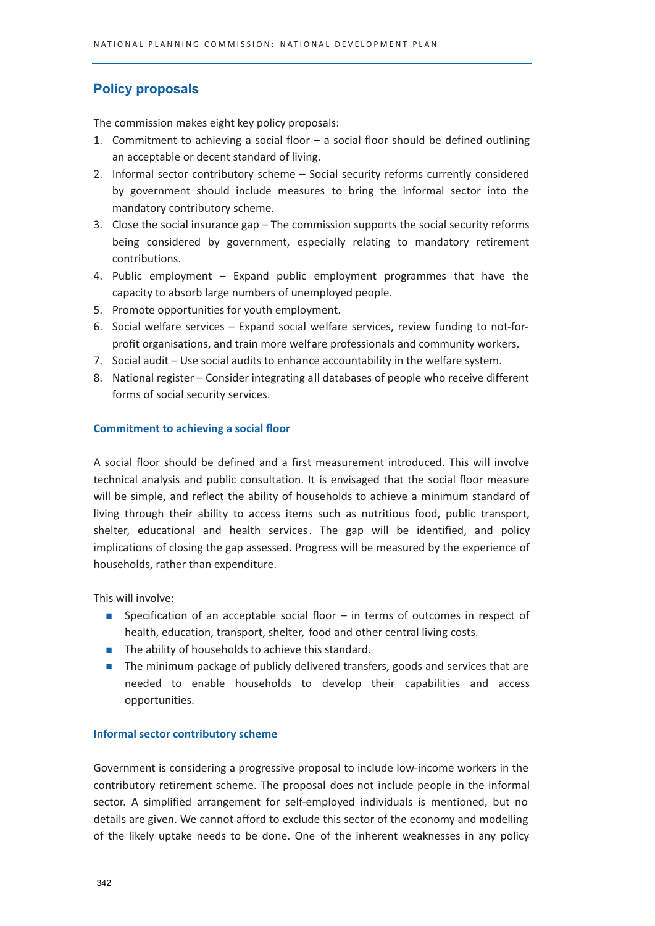# **Policy proposals**

The commission makes eight key policy proposals:

- 1. Commitment to achieving a social floor  $-$  a social floor should be defined outlining an acceptable or decent standard of living.
- 2. Informal sector contributory scheme Social security reforms currently considered by government should include measures to bring the informal sector into the mandatory contributory scheme.
- 3. Close the social insurance gap The commission supports the social security reforms being considered by government, especially relating to mandatory retirement contributions.
- 4. Public employment Expand public employment programmes that have the capacity to absorb large numbers of unemployed people.
- 5. Promote opportunities for youth employment.
- 6. Social welfare services Expand social welfare services, review funding to not-forprofit organisations, and train more welfare professionals and community workers.
- 7. Social audit Use social audits to enhance accountability in the welfare system.
- 8. National register Consider integrating all databases of people who receive different forms of social security services.

#### **Commitment to achieving a social floor**

A social floor should be defined and a first measurement introduced. This will involve technical analysis and public consultation. It is envisaged that the social floor measure will be simple, and reflect the ability of households to achieve a minimum standard of living through their ability to access items such as nutritious food, public transport, shelter, educational and health services. The gap will be identified, and policy implications of closing the gap assessed. Progress will be measured by the experience of households, rather than expenditure.

This will involve:

- Specification of an acceptable social floor in terms of outcomes in respect of health, education, transport, shelter, food and other central living costs.
- The ability of households to achieve this standard.
- The minimum package of publicly delivered transfers, goods and services that are needed to enable households to develop their capabilities and access opportunities.

#### **Informal sector contributory scheme**

Government is considering a progressive proposal to include low-income workers in the contributory retirement scheme. The proposal does not include people in the informal sector. A simplified arrangement for self-employed individuals is mentioned, but no details are given. We cannot afford to exclude this sector of the economy and modelling of the likely uptake needs to be done. One of the inherent weaknesses in any policy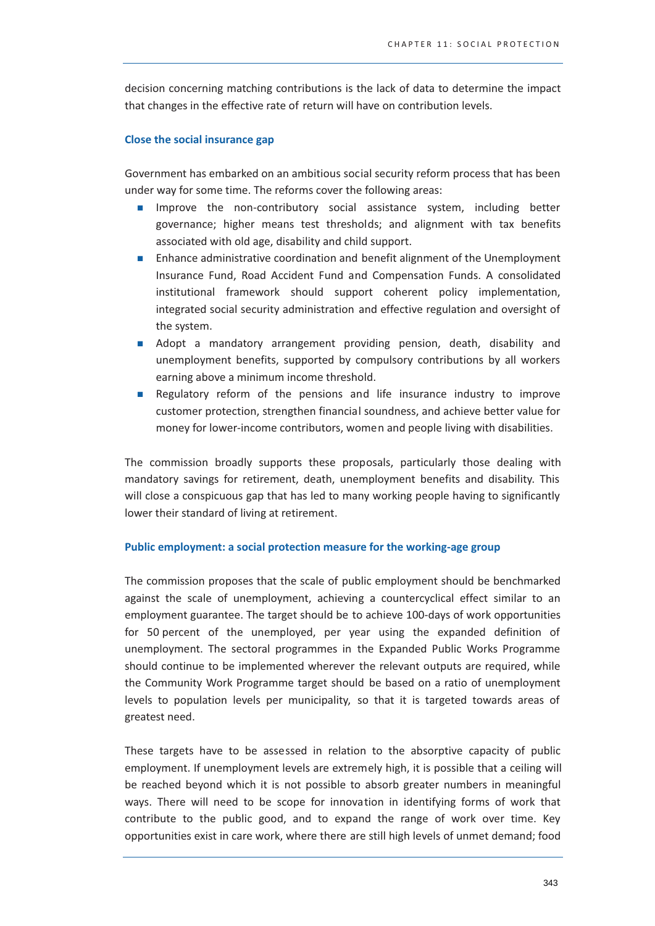decision concerning matching contributions is the lack of data to determine the impact that changes in the effective rate of return will have on contribution levels.

#### **Close the social insurance gap**

Government has embarked on an ambitious social security reform process that has been under way for some time. The reforms cover the following areas:

- Improve the non-contributory social assistance system, including better  $\mathbf{r}$ governance; higher means test thresholds; and alignment with tax benefits associated with old age, disability and child support.
- Enhance administrative coordination and benefit alignment of the Unemployment  $\mathcal{L}_{\mathcal{A}}$ Insurance Fund, Road Accident Fund and Compensation Funds. A consolidated institutional framework should support coherent policy implementation, integrated social security administration and effective regulation and oversight of the system.
- Adopt a mandatory arrangement providing pension, death, disability and unemployment benefits, supported by compulsory contributions by all workers earning above a minimum income threshold.
- Regulatory reform of the pensions and life insurance industry to improve customer protection, strengthen financial soundness, and achieve better value for money for lower-income contributors, women and people living with disabilities.

The commission broadly supports these proposals, particularly those dealing with mandatory savings for retirement, death, unemployment benefits and disability. This will close a conspicuous gap that has led to many working people having to significantly lower their standard of living at retirement.

#### Public employment: a social protection measure for the working-age group

The commission proposes that the scale of public employment should be benchmarked against the scale of unemployment, achieving a countercyclical effect similar to an employment guarantee. The target should be to achieve 100-days of work opportunities for 50 percent of the unemployed, per year using the expanded definition of unemployment. The sectoral programmes in the Expanded Public Works Programme should continue to be implemented wherever the relevant outputs are required, while the Community Work Programme target should be based on a ratio of unemployment levels to population levels per municipality, so that it is targeted towards areas of greatest need.

These targets have to be assessed in relation to the absorptive capacity of public employment. If unemployment levels are extremely high, it is possible that a ceiling will be reached beyond which it is not possible to absorb greater numbers in meaningful ways. There will need to be scope for innovation in identifying forms of work that contribute to the public good, and to expand the range of work over time. Key opportunities exist in care work, where there are still high levels of unmet demand; food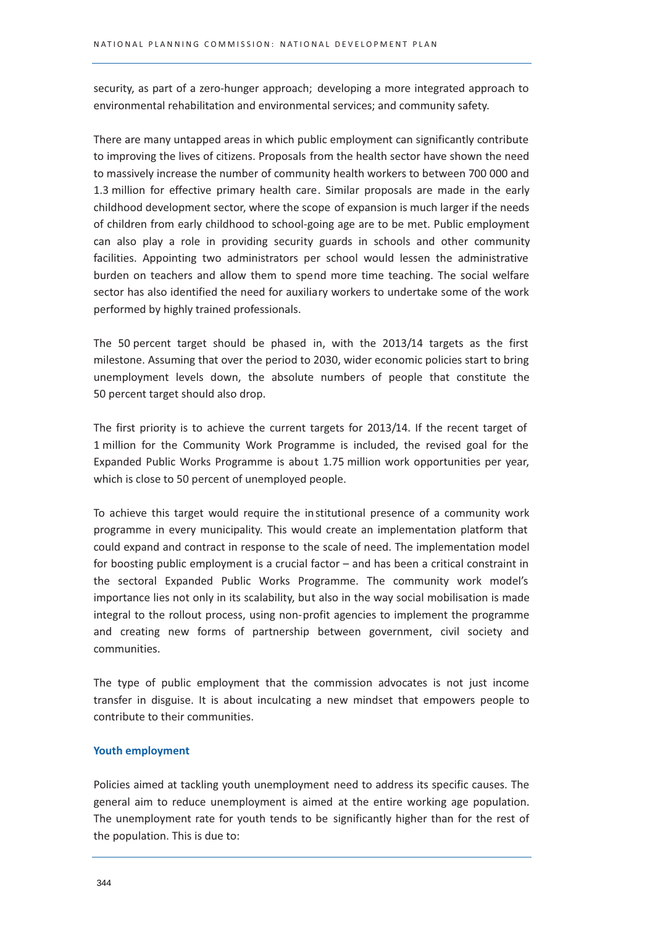security, as part of a zero-hunger approach; developing a more integrated approach to environmental rehabilitation and environmental services; and community safety.

There are many untapped areas in which public employment can significantly contribute to improving the lives of citizens. Proposals from the health sector have shown the need to massively increase the number of community health workers to between 700 000 and 1.3 million for effective primary health care. Similar proposals are made in the early childhood development sector, where the scope of expansion is much larger if the needs of children from early childhood to school-going age are to be met. Public employment can also play a role in providing security guards in schools and other community facilities. Appointing two administrators per school would lessen the administrative burden on teachers and allow them to spend more time teaching. The social welfare sector has also identified the need for auxiliary workers to undertake some of the work performed by highly trained professionals.

The 50 percent target should be phased in, with the 2013/14 targets as the first milestone. Assuming that over the period to 2030, wider economic policies start to bring unemployment levels down, the absolute numbers of people that constitute the 50 percent target should also drop.

The first priority is to achieve the current targets for 2013/14. If the recent target of 1 million for the Community Work Programme is included, the revised goal for the Expanded Public Works Programme is about 1.75 million work opportunities per year, which is close to 50 percent of unemployed people.

To achieve this target would require the institutional presence of a community work programme in every municipality. This would create an implementation platform that could expand and contract in response to the scale of need. The implementation model for boosting public employment is a crucial factor  $-$  and has been a critical constraint in the sectoral Expanded Public Works Programme. The community work model's importance lies not only in its scalability, but also in the way social mobilisation is made integral to the rollout process, using non-profit agencies to implement the programme and creating new forms of partnership between government, civil society and communities.

The type of public employment that the commission advocates is not just income transfer in disguise. It is about inculcating a new mindset that empowers people to contribute to their communities.

#### **Youth employment**

Policies aimed at tackling youth unemployment need to address its specific causes. The general aim to reduce unemployment is aimed at the entire working age population. The unemployment rate for youth tends to be significantly higher than for the rest of the population. This is due to: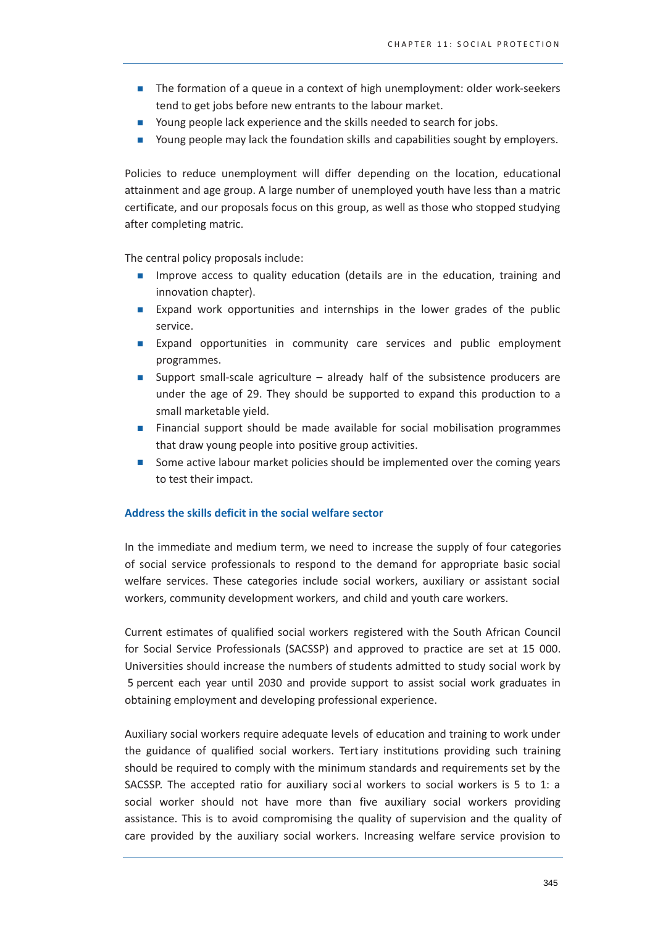- The formation of a queue in a context of high unemployment: older work-seekers tend to get jobs before new entrants to the labour market.
- Young people lack experience and the skills needed to search for jobs.
- Young people may lack the foundation skills and capabilities sought by employers.

Policies to reduce unemployment will differ depending on the location, educational attainment and age group. A large number of unemployed youth have less than a matric certificate, and our proposals focus on this group, as well as those who stopped studying after completing matric.

The central policy proposals include:

- Improve access to quality education (details are in the education, training and innovation chapter).
- **Expand work opportunities and internships in the lower grades of the public** service.
- Expand opportunities in community care services and public employment programmes.
- Support small-scale agriculture  $-$  already half of the subsistence producers are  $\blacksquare$ under the age of 29. They should be supported to expand this production to a small marketable vield.
- Financial support should be made available for social mobilisation programmes  $\mathcal{L}_{\mathcal{A}}$ that draw young people into positive group activities.
- Some active labour market policies should be implemented over the coming years  $\mathcal{L}_{\text{max}}$ to test their impact.

#### Address the skills deficit in the social welfare sector

In the immediate and medium term, we need to increase the supply of four categories of social service professionals to respond to the demand for appropriate basic social welfare services. These categories include social workers, auxiliary or assistant social workers, community development workers, and child and youth care workers.

Current estimates of qualified social workers registered with the South African Council for Social Service Professionals (SACSSP) and approved to practice are set at 15 000. Universities should increase the numbers of students admitted to study social work by 5 percent each year until 2030 and provide support to assist social work graduates in obtaining employment and developing professional experience.

Auxiliary social workers require adequate levels of education and training to work under the guidance of qualified social workers. Tertiary institutions providing such training should be required to comply with the minimum standards and requirements set by the SACSSP. The accepted ratio for auxiliary social workers to social workers is 5 to 1: a social worker should not have more than five auxiliary social workers providing assistance. This is to avoid compromising the quality of supervision and the quality of care provided by the auxiliary social workers. Increasing welfare service provision to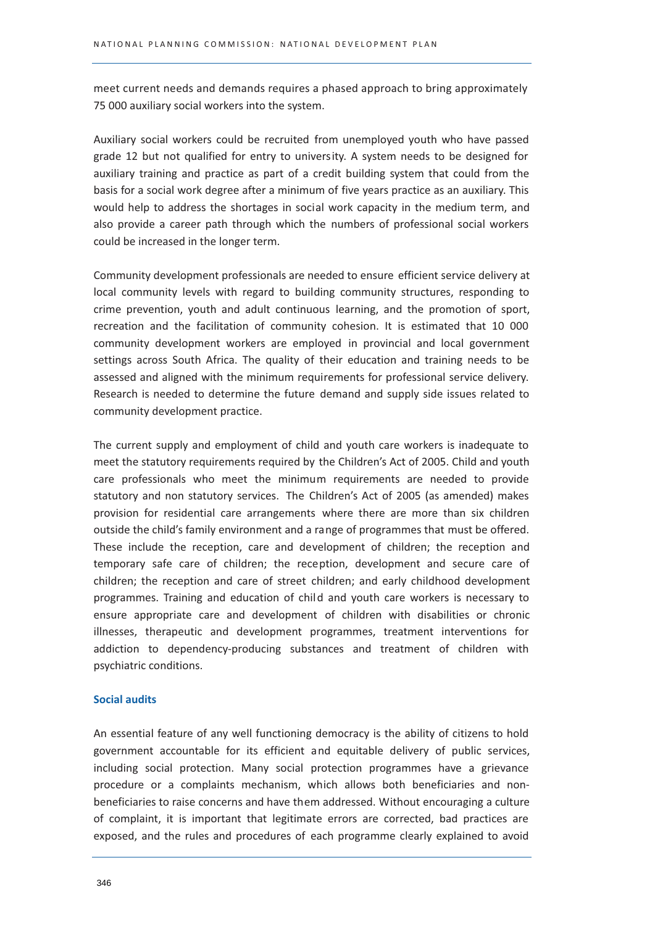meet current needs and demands requires a phased approach to bring approximately 75 000 auxiliary social workers into the system.

Auxiliary social workers could be recruited from unemployed youth who have passed grade 12 but not qualified for entry to university. A system needs to be designed for auxiliary training and practice as part of a credit building system that could from the basis for a social work degree after a minimum of five years practice as an auxiliary. This would help to address the shortages in social work capacity in the medium term, and also provide a career path through which the numbers of professional social workers could be increased in the longer term.

Community development professionals are needed to ensure efficient service delivery at local community levels with regard to building community structures, responding to crime prevention, youth and adult continuous learning, and the promotion of sport, recreation and the facilitation of community cohesion. It is estimated that 10 000 community development workers are employed in provincial and local government settings across South Africa. The quality of their education and training needs to be assessed and aligned with the minimum requirements for professional service delivery. Research is needed to determine the future demand and supply side issues related to community development practice.

The current supply and employment of child and youth care workers is inadequate to meet the statutory requirements required by the Children's Act of 2005. Child and youth care professionals who meet the minimum requirements are needed to provide statutory and non statutory services. The Children's Act of 2005 (as amended) makes provision for residential care arrangements where there are more than six children outside the child's family environment and a range of programmes that must be offered. These include the reception, care and development of children; the reception and temporary safe care of children; the reception, development and secure care of children; the reception and care of street children; and early childhood development programmes. Training and education of child and youth care workers is necessary to ensure appropriate care and development of children with disabilities or chronic illnesses, therapeutic and development programmes, treatment interventions for addiction to dependency-producing substances and treatment of children with psychiatric conditions.

#### **Social audits**

An essential feature of any well functioning democracy is the ability of citizens to hold government accountable for its efficient and equitable delivery of public services, including social protection. Many social protection programmes have a grievance procedure or a complaints mechanism, which allows both beneficiaries and nonbeneficiaries to raise concerns and have them addressed. Without encouraging a culture of complaint, it is important that legitimate errors are corrected, bad practices are exposed, and the rules and procedures of each programme clearly explained to avoid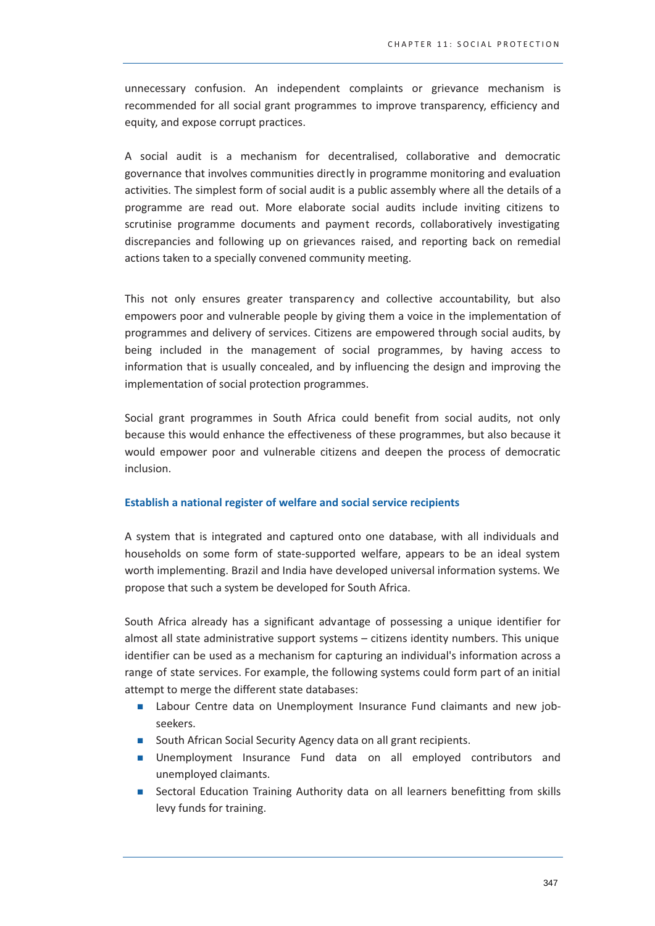unnecessary confusion. An independent complaints or grievance mechanism is recommended for all social grant programmes to improve transparency, efficiency and equity, and expose corrupt practices.

A social audit is a mechanism for decentralised, collaborative and democratic governance that involves communities directly in programme monitoring and evaluation activities. The simplest form of social audit is a public assembly where all the details of a programme are read out. More elaborate social audits include inviting citizens to scrutinise programme documents and payment records, collaboratively investigating discrepancies and following up on grievances raised, and reporting back on remedial actions taken to a specially convened community meeting.

This not only ensures greater transparency and collective accountability, but also empowers poor and vulnerable people by giving them a voice in the implementation of programmes and delivery of services. Citizens are empowered through social audits, by being included in the management of social programmes, by having access to information that is usually concealed, and by influencing the design and improving the implementation of social protection programmes.

Social grant programmes in South Africa could benefit from social audits, not only because this would enhance the effectiveness of these programmes, but also because it would empower poor and vulnerable citizens and deepen the process of democratic inclusion.

#### Establish a national register of welfare and social service recipients

A system that is integrated and captured onto one database, with all individuals and households on some form of state-supported welfare, appears to be an ideal system worth implementing. Brazil and India have developed universal information systems. We propose that such a system be developed for South Africa.

South Africa already has a significant advantage of possessing a unique identifier for almost all state administrative support systems - citizens identity numbers. This unique identifier can be used as a mechanism for capturing an individual's information across a range of state services. For example, the following systems could form part of an initial attempt to merge the different state databases:

- Labour Centre data on Unemployment Insurance Fund claimants and new jobseekers.
- South African Social Security Agency data on all grant recipients.
- In Unemployment Insurance Fund data on all employed contributors and unemployed claimants.
- Sectoral Education Training Authority data on all learners benefitting from skills  $\mathcal{L}_{\mathcal{A}}$ levy funds for training.